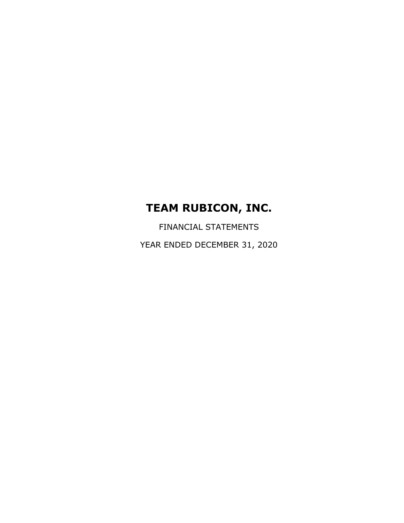FINANCIAL STATEMENTS YEAR ENDED DECEMBER 31, 2020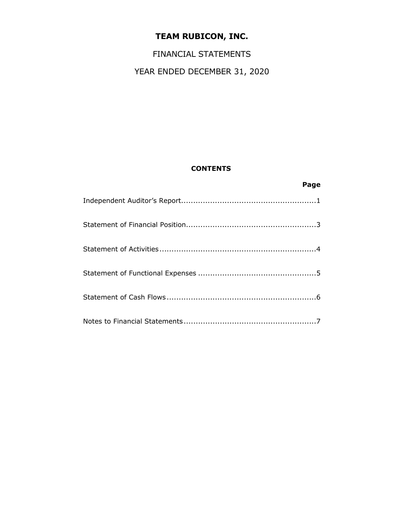FINANCIAL STATEMENTS

YEAR ENDED DECEMBER 31, 2020

## **CONTENTS**

| Page |
|------|
|      |
|      |
|      |
|      |
|      |
|      |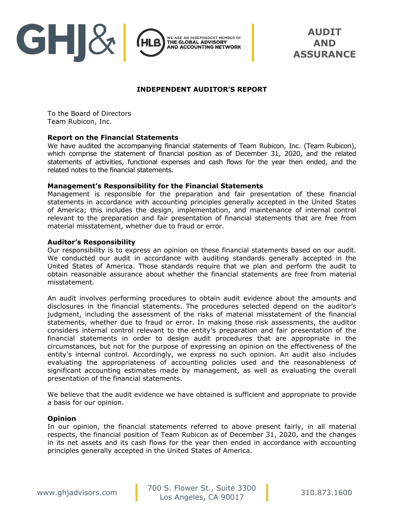

**AUDIT AND ASSURANCE** 

#### **INDEPENDENT AUDITOR'S REPORT**

To the Board of Directors Team Rubicon, Inc.

#### **Report on the Financial Statements**

We have audited the accompanying financial statements of Team Rubicon, Inc. (Team Rubicon), which comprise the statement of financial position as of December 31, 2020, and the related statements of activities, functional expenses and cash flows for the year then ended, and the related notes to the financial statements.

#### **Management's Responsibility for the Financial Statements**

Management is responsible for the preparation and fair presentation of these financial statements in accordance with accounting principles generally accepted in the United States of America; this includes the design, implementation, and maintenance of internal control relevant to the preparation and fair presentation of financial statements that are free from material misstatement, whether due to fraud or error.

#### **Auditor's Responsibility**

Our responsibility is to express an opinion on these financial statements based on our audit. We conducted our audit in accordance with auditing standards generally accepted in the United States of America. Those standards require that we plan and perform the audit to obtain reasonable assurance about whether the financial statements are free from material misstatement.

An audit involves performing procedures to obtain audit evidence about the amounts and disclosures in the financial statements. The procedures selected depend on the auditor's judgment, including the assessment of the risks of material misstatement of the financial statements, whether due to fraud or error. In making those risk assessments, the auditor considers internal control relevant to the entity's preparation and fair presentation of the financial statements in order to design audit procedures that are appropriate in the circumstances, but not for the purpose of expressing an opinion on the effectiveness of the entity's internal control. Accordingly, we express no such opinion. An audit also includes evaluating the appropriateness of accounting policies used and the reasonableness of significant accounting estimates made by management, as well as evaluating the overall presentation of the financial statements.

We believe that the audit evidence we have obtained is sufficient and appropriate to provide a basis for our opinion.

#### **Opinion**

In our opinion, the financial statements referred to above present fairly, in all material respects, the financial position of Team Rubicon as of December 31, 2020, and the changes in its net assets and its cash flows for the year then ended in accordance with accounting principles generally accepted in the United States of America.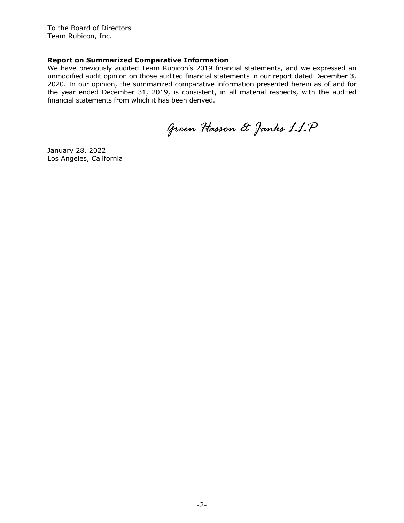To the Board of Directors Team Rubicon, Inc.

#### **Report on Summarized Comparative Information**

We have previously audited Team Rubicon's 2019 financial statements, and we expressed an unmodified audit opinion on those audited financial statements in our report dated December 3, 2020. In our opinion, the summarized comparative information presented herein as of and for the year ended December 31, 2019, is consistent, in all material respects, with the audited financial statements from which it has been derived.

*Green Hasson & Janks LLP* 

January 28, 2022 Los Angeles, California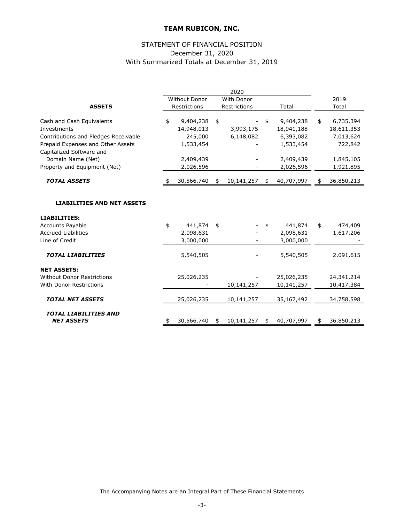#### STATEMENT OF FINANCIAL POSITION December 31, 2020 With Summarized Totals at December 31, 2019

| 2020 |            |                                                                 |            |                          |            |                         |            |  |
|------|------------|-----------------------------------------------------------------|------------|--------------------------|------------|-------------------------|------------|--|
|      |            |                                                                 |            |                          |            | 2019                    |            |  |
|      |            | Restrictions                                                    |            |                          | Total      |                         | Total      |  |
|      |            |                                                                 |            |                          |            |                         |            |  |
| \$   | 9,404,238  | \$                                                              |            | \$                       | 9,404,238  | \$                      | 6,735,394  |  |
|      | 14,948,013 |                                                                 | 3,993,175  |                          | 18,941,188 |                         | 18,611,353 |  |
|      | 245,000    |                                                                 | 6,148,082  |                          | 6,393,082  |                         | 7,013,624  |  |
|      | 1,533,454  |                                                                 |            |                          | 1,533,454  |                         | 722,842    |  |
|      |            |                                                                 |            |                          |            |                         |            |  |
|      | 2,409,439  |                                                                 |            |                          | 2,409,439  |                         | 1,845,105  |  |
|      | 2,026,596  |                                                                 |            |                          | 2,026,596  |                         | 1,921,895  |  |
|      |            |                                                                 |            |                          |            |                         | 36,850,213 |  |
|      |            |                                                                 |            |                          |            |                         |            |  |
|      |            |                                                                 |            |                          |            |                         |            |  |
|      |            |                                                                 |            |                          |            |                         |            |  |
|      |            |                                                                 |            |                          |            |                         |            |  |
| \$   | 441,874    | \$                                                              |            | \$                       | 441,874    | \$                      | 474,409    |  |
|      | 2,098,631  |                                                                 |            |                          | 2,098,631  |                         | 1,617,206  |  |
|      | 3,000,000  |                                                                 |            |                          | 3,000,000  |                         |            |  |
|      |            |                                                                 |            |                          |            |                         | 2,091,615  |  |
|      |            |                                                                 |            |                          |            |                         |            |  |
|      |            |                                                                 |            |                          |            |                         |            |  |
|      | 25,026,235 |                                                                 |            |                          | 25,026,235 |                         | 24,341,214 |  |
|      |            |                                                                 | 10,141,257 |                          | 10,141,257 |                         | 10,417,384 |  |
|      |            |                                                                 |            |                          |            |                         |            |  |
|      | 25,026,235 |                                                                 | 10,141,257 |                          | 35,167,492 |                         | 34,758,598 |  |
|      |            |                                                                 |            |                          |            |                         |            |  |
| \$   | 30,566,740 | \$                                                              | 10,141,257 | \$                       | 40,707,997 | \$                      | 36,850,213 |  |
|      |            | <b>Without Donor</b><br>Restrictions<br>30,566,740<br>5,540,505 | \$         | With Donor<br>10,141,257 | \$         | 40,707,997<br>5,540,505 | \$         |  |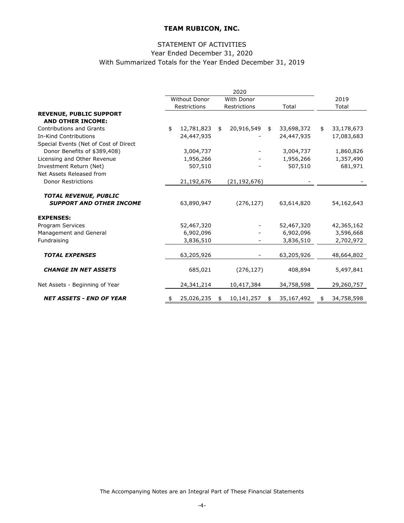#### STATEMENT OF ACTIVITIES With Summarized Totals for the Year Ended December 31, 2019 Year Ended December 31, 2020

|                                       | 2020                 |              |            |                  |            |                  |
|---------------------------------------|----------------------|--------------|------------|------------------|------------|------------------|
|                                       | <b>Without Donor</b> |              | With Donor |                  |            | 2019             |
|                                       |                      | Restrictions |            | Restrictions     | Total      | Total            |
| <b>REVENUE, PUBLIC SUPPORT</b>        |                      |              |            |                  |            |                  |
| <b>AND OTHER INCOME:</b>              |                      |              |            |                  |            |                  |
| <b>Contributions and Grants</b>       | \$                   | 12,781,823   | \$         | 20,916,549<br>\$ | 33,698,372 | \$<br>33,178,673 |
| <b>In-Kind Contributions</b>          |                      | 24,447,935   |            |                  | 24,447,935 | 17,083,683       |
| Special Events (Net of Cost of Direct |                      |              |            |                  |            |                  |
| Donor Benefits of \$389,408)          |                      | 3,004,737    |            |                  | 3,004,737  | 1,860,826        |
| Licensing and Other Revenue           |                      | 1,956,266    |            |                  | 1,956,266  | 1,357,490        |
| Investment Return (Net)               |                      | 507,510      |            |                  | 507,510    | 681,971          |
| Net Assets Released from              |                      |              |            |                  |            |                  |
| <b>Donor Restrictions</b>             |                      | 21,192,676   |            | (21, 192, 676)   |            |                  |
| TOTAL REVENUE, PUBLIC                 |                      |              |            |                  |            |                  |
| <b>SUPPORT AND OTHER INCOME</b>       |                      | 63,890,947   |            | (276, 127)       | 63,614,820 | 54,162,643       |
| <b>EXPENSES:</b>                      |                      |              |            |                  |            |                  |
| Program Services                      |                      | 52,467,320   |            |                  | 52,467,320 | 42,365,162       |
| Management and General                |                      | 6,902,096    |            |                  | 6,902,096  | 3,596,668        |
| Fundraising                           |                      | 3,836,510    |            |                  | 3,836,510  | 2,702,972        |
| <b>TOTAL EXPENSES</b>                 |                      | 63,205,926   |            |                  | 63,205,926 | 48,664,802       |
|                                       |                      |              |            |                  |            |                  |
| <b>CHANGE IN NET ASSETS</b>           |                      | 685,021      |            | (276, 127)       | 408,894    | 5,497,841        |
| Net Assets - Beginning of Year        |                      | 24,341,214   |            | 10,417,384       | 34,758,598 | 29,260,757       |
| <b>NET ASSETS - END OF YEAR</b>       | \$                   | 25,026,235   | \$         | 10,141,257<br>\$ | 35,167,492 | \$<br>34,758,598 |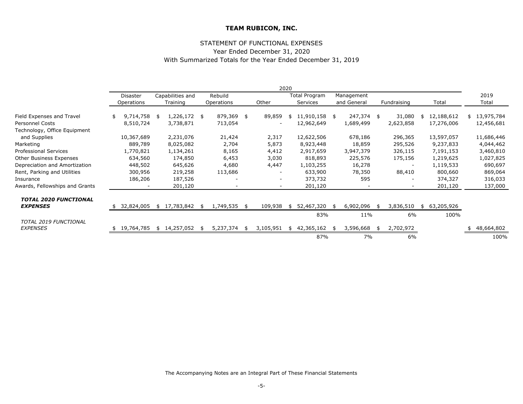#### STATEMENT OF FUNCTIONAL EXPENSES Year Ended December 31, 2020 With Summarized Totals for the Year Ended December 31, 2019

|                                |                          |      |                  |                 |     |                          | 2020 |                      |      |             |     |                          |                  |                  |
|--------------------------------|--------------------------|------|------------------|-----------------|-----|--------------------------|------|----------------------|------|-------------|-----|--------------------------|------------------|------------------|
|                                | Disaster                 |      | Capabilities and | Rebuild         |     |                          |      | <b>Total Program</b> |      | Management  |     |                          |                  | 2019             |
|                                | Operations               |      | Training         | Operations      |     | Other                    |      | Services             |      | and General |     | Fundraising              | Total            | Total            |
| Field Expenses and Travel      | 9,714,758                | - \$ | $1,226,172$ \$   | 879,369         | \$  | 89,859                   | \$   | 11,910,158           | -\$  | 247,374     | -\$ | 31,080                   | \$<br>12,188,612 | \$<br>13,975,784 |
| Personnel Costs                | 8,510,724                |      | 3,738,871        | 713,054         |     | $\overline{\phantom{0}}$ |      | 12,962,649           |      | 1,689,499   |     | 2,623,858                | 17,276,006       | 12,456,681       |
| Technology, Office Equipment   |                          |      |                  |                 |     |                          |      |                      |      |             |     |                          |                  |                  |
| and Supplies                   | 10,367,689               |      | 2,231,076        | 21,424          |     | 2,317                    |      | 12,622,506           |      | 678,186     |     | 296,365                  | 13,597,057       | 11,686,446       |
| Marketing                      | 889,789                  |      | 8,025,082        | 2,704           |     | 5,873                    |      | 8,923,448            |      | 18,859      |     | 295,526                  | 9,237,833        | 4,044,462        |
| Professional Services          | 1,770,821                |      | 1,134,261        | 8,165           |     | 4,412                    |      | 2,917,659            |      | 3,947,379   |     | 326,115                  | 7,191,153        | 3,460,810        |
| Other Business Expenses        | 634,560                  |      | 174,850          | 6,453           |     | 3,030                    |      | 818,893              |      | 225,576     |     | 175,156                  | 1,219,625        | 1,027,825        |
| Depreciation and Amortization  | 448,502                  |      | 645,626          | 4,680           |     | 4,447                    |      | 1,103,255            |      | 16,278      |     |                          | 1,119,533        | 690,697          |
| Rent, Parking and Utilities    | 300,956                  |      | 219,258          | 113,686         |     | $\overline{\phantom{a}}$ |      | 633,900              |      | 78,350      |     | 88,410                   | 800,660          | 869,064          |
| Insurance                      | 186,206                  |      | 187,526          |                 |     | $\overline{\phantom{a}}$ |      | 373,732              |      | 595         |     | $\overline{\phantom{a}}$ | 374,327          | 316,033          |
| Awards, Fellowships and Grants | $\overline{\phantom{a}}$ |      | 201,120          |                 |     | $\overline{\phantom{a}}$ |      | 201,120              |      |             |     | $\overline{\phantom{a}}$ | 201,120          | 137,000          |
| <b>TOTAL 2020 FUNCTIONAL</b>   |                          |      |                  |                 |     |                          |      |                      |      |             |     |                          |                  |                  |
| <b>EXPENSES</b>                | 32,824,005               | \$   | 17,783,842       | \$<br>1,749,535 | -\$ | 109,938                  | \$   | 52,467,320           | - \$ | 6,902,096   |     | 3,836,510                | 63,205,926       |                  |
|                                |                          |      |                  |                 |     |                          |      | 83%                  |      | 11%         |     | 6%                       | 100%             |                  |
| TOTAL 2019 FUNCTIONAL          |                          |      |                  |                 |     |                          |      |                      |      |             |     |                          |                  |                  |
| <b>EXPENSES</b>                | 19,764,785               |      | \$14,257,052     | \$<br>5,237,374 | S.  | 3,105,951                |      | \$42,365,162         | - SS | 3,596,668   | \$  | 2,702,972                |                  | 48,664,802       |
|                                |                          |      |                  |                 |     |                          |      | 87%                  |      | 7%          |     | 6%                       |                  | 100%             |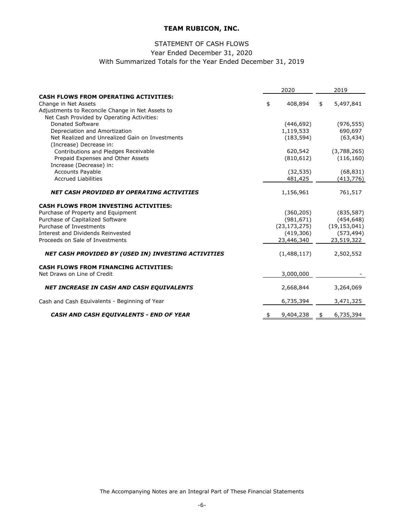#### With Summarized Totals for the Year Ended December 31, 2019 STATEMENT OF CASH FLOWS Year Ended December 31, 2020

|                                                     | 2020 |                | 2019            |
|-----------------------------------------------------|------|----------------|-----------------|
| <b>CASH FLOWS FROM OPERATING ACTIVITIES:</b>        |      |                |                 |
| Change in Net Assets                                | \$   | 408,894        | \$<br>5,497,841 |
| Adjustments to Reconcile Change in Net Assets to    |      |                |                 |
| Net Cash Provided by Operating Activities:          |      |                |                 |
| Donated Software                                    |      | (446, 692)     | (976, 555)      |
| Depreciation and Amortization                       |      | 1,119,533      | 690,697         |
| Net Realized and Unrealized Gain on Investments     |      | (183, 594)     | (63, 434)       |
| (Increase) Decrease in:                             |      |                |                 |
| Contributions and Pledges Receivable                |      | 620,542        | (3,788,265)     |
| Prepaid Expenses and Other Assets                   |      | (810, 612)     | (116, 160)      |
| Increase (Decrease) in:                             |      |                |                 |
| Accounts Payable                                    |      | (32, 535)      | (68, 831)       |
| <b>Accrued Liabilities</b>                          |      | 481,425        | (413,776)       |
| <b>NET CASH PROVIDED BY OPERATING ACTIVITIES</b>    |      | 1,156,961      | 761,517         |
| <b>CASH FLOWS FROM INVESTING ACTIVITIES:</b>        |      |                |                 |
| Purchase of Property and Equipment                  |      | (360, 205)     | (835,587)       |
| Purchase of Capitalized Software                    |      | (981, 671)     | (454, 648)      |
| Purchase of Investments                             |      | (23, 173, 275) | (19, 153, 041)  |
| Interest and Dividends Reinvested                   |      | (419, 306)     | (573, 494)      |
| Proceeds on Sale of Investments                     |      | 23,446,340     | 23,519,322      |
| NET CASH PROVIDED BY (USED IN) INVESTING ACTIVITIES |      | (1,488,117)    | 2,502,552       |
| <b>CASH FLOWS FROM FINANCING ACTIVITIES:</b>        |      |                |                 |
| Net Draws on Line of Credit                         |      | 3,000,000      |                 |
| <b>NET INCREASE IN CASH AND CASH EQUIVALENTS</b>    |      | 2,668,844      | 3,264,069       |
| Cash and Cash Equivalents - Beginning of Year       |      | 6,735,394      | 3,471,325       |
| CASH AND CASH EQUIVALENTS - END OF YEAR             | \$   | 9,404,238      | \$<br>6,735,394 |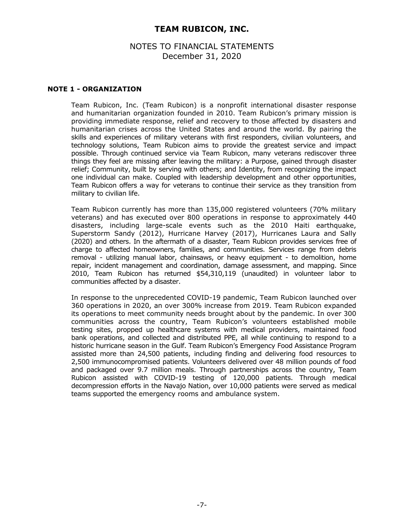## NOTES TO FINANCIAL STATEMENTS December 31, 2020

#### **NOTE 1 - ORGANIZATION**

Team Rubicon, Inc. (Team Rubicon) is a nonprofit international disaster response and humanitarian organization founded in 2010. Team Rubicon's primary mission is providing immediate response, relief and recovery to those affected by disasters and humanitarian crises across the United States and around the world. By pairing the skills and experiences of military veterans with first responders, civilian volunteers, and technology solutions, Team Rubicon aims to provide the greatest service and impact possible. Through continued service via Team Rubicon, many veterans rediscover three things they feel are missing after leaving the military: a Purpose, gained through disaster relief; Community, built by serving with others; and Identity, from recognizing the impact one individual can make. Coupled with leadership development and other opportunities, Team Rubicon offers a way for veterans to continue their service as they transition from military to civilian life.

Team Rubicon currently has more than 135,000 registered volunteers (70% military veterans) and has executed over 800 operations in response to approximately 440 disasters, including large-scale events such as the 2010 Haiti earthquake, Superstorm Sandy (2012), Hurricane Harvey (2017), Hurricanes Laura and Sally (2020) and others. In the aftermath of a disaster, Team Rubicon provides services free of charge to affected homeowners, families, and communities. Services range from debris removal - utilizing manual labor, chainsaws, or heavy equipment - to demolition, home repair, incident management and coordination, damage assessment, and mapping. Since 2010, Team Rubicon has returned \$54,310,119 (unaudited) in volunteer labor to communities affected by a disaster.

In response to the unprecedented COVID-19 pandemic, Team Rubicon launched over 360 operations in 2020, an over 300% increase from 2019. Team Rubicon expanded its operations to meet community needs brought about by the pandemic. In over 300 communities across the country, Team Rubicon's volunteers established mobile testing sites, propped up healthcare systems with medical providers, maintained food bank operations, and collected and distributed PPE, all while continuing to respond to a historic hurricane season in the Gulf. Team Rubicon's Emergency Food Assistance Program assisted more than 24,500 patients, including finding and delivering food resources to 2,500 immunocompromised patients. Volunteers delivered over 48 million pounds of food and packaged over 9.7 million meals. Through partnerships across the country, Team Rubicon assisted with COVID-19 testing of 120,000 patients. Through medical decompression efforts in the Navajo Nation, over 10,000 patients were served as medical teams supported the emergency rooms and ambulance system.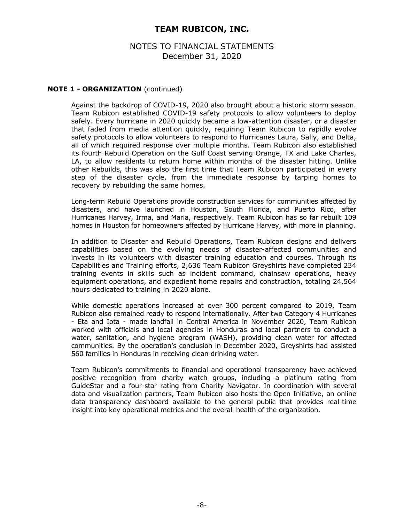## NOTES TO FINANCIAL STATEMENTS December 31, 2020

#### **NOTE 1 - ORGANIZATION** (continued)

Against the backdrop of COVID-19, 2020 also brought about a historic storm season. Team Rubicon established COVID-19 safety protocols to allow volunteers to deploy safely. Every hurricane in 2020 quickly became a low-attention disaster, or a disaster that faded from media attention quickly, requiring Team Rubicon to rapidly evolve safety protocols to allow volunteers to respond to Hurricanes Laura, Sally, and Delta, all of which required response over multiple months. Team Rubicon also established its fourth Rebuild Operation on the Gulf Coast serving Orange, TX and Lake Charles, LA, to allow residents to return home within months of the disaster hitting. Unlike other Rebuilds, this was also the first time that Team Rubicon participated in every step of the disaster cycle, from the immediate response by tarping homes to recovery by rebuilding the same homes.

Long-term Rebuild Operations provide construction services for communities affected by disasters, and have launched in Houston, South Florida, and Puerto Rico, after Hurricanes Harvey, Irma, and Maria, respectively. Team Rubicon has so far rebuilt 109 homes in Houston for homeowners affected by Hurricane Harvey, with more in planning.

In addition to Disaster and Rebuild Operations, Team Rubicon designs and delivers capabilities based on the evolving needs of disaster-affected communities and invests in its volunteers with disaster training education and courses. Through its Capabilities and Training efforts, 2,636 Team Rubicon Greyshirts have completed 234 training events in skills such as incident command, chainsaw operations, heavy equipment operations, and expedient home repairs and construction, totaling 24,564 hours dedicated to training in 2020 alone.

While domestic operations increased at over 300 percent compared to 2019, Team Rubicon also remained ready to respond internationally. After two Category 4 Hurricanes - Eta and Iota - made landfall in Central America in November 2020, Team Rubicon worked with officials and local agencies in Honduras and local partners to conduct a water, sanitation, and hygiene program (WASH), providing clean water for affected communities. By the operation's conclusion in December 2020, Greyshirts had assisted 560 families in Honduras in receiving clean drinking water.

Team Rubicon's commitments to financial and operational transparency have achieved positive recognition from charity watch groups, including a platinum rating from GuideStar and a four-star rating from Charity Navigator. In coordination with several data and visualization partners, Team Rubicon also hosts the Open Initiative, an online data transparency dashboard available to the general public that provides real-time insight into key operational metrics and the overall health of the organization.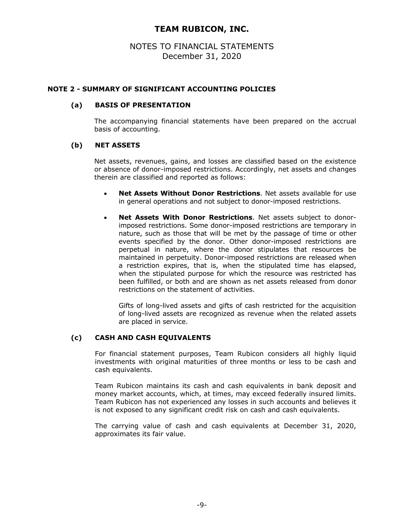## NOTES TO FINANCIAL STATEMENTS December 31, 2020

#### **NOTE 2 - SUMMARY OF SIGNIFICANT ACCOUNTING POLICIES**

#### **(a) BASIS OF PRESENTATION**

 The accompanying financial statements have been prepared on the accrual basis of accounting.

#### **(b) NET ASSETS**

 Net assets, revenues, gains, and losses are classified based on the existence or absence of donor-imposed restrictions. Accordingly, net assets and changes therein are classified and reported as follows:

- **Net Assets Without Donor Restrictions**. Net assets available for use in general operations and not subject to donor-imposed restrictions.
- **Net Assets With Donor Restrictions**. Net assets subject to donorimposed restrictions. Some donor-imposed restrictions are temporary in nature, such as those that will be met by the passage of time or other events specified by the donor. Other donor-imposed restrictions are perpetual in nature, where the donor stipulates that resources be maintained in perpetuity. Donor-imposed restrictions are released when a restriction expires, that is, when the stipulated time has elapsed, when the stipulated purpose for which the resource was restricted has been fulfilled, or both and are shown as net assets released from donor restrictions on the statement of activities.

Gifts of long-lived assets and gifts of cash restricted for the acquisition of long-lived assets are recognized as revenue when the related assets are placed in service.

#### **(c) CASH AND CASH EQUIVALENTS**

For financial statement purposes, Team Rubicon considers all highly liquid investments with original maturities of three months or less to be cash and cash equivalents.

Team Rubicon maintains its cash and cash equivalents in bank deposit and money market accounts, which, at times, may exceed federally insured limits. Team Rubicon has not experienced any losses in such accounts and believes it is not exposed to any significant credit risk on cash and cash equivalents.

The carrying value of cash and cash equivalents at December 31, 2020, approximates its fair value.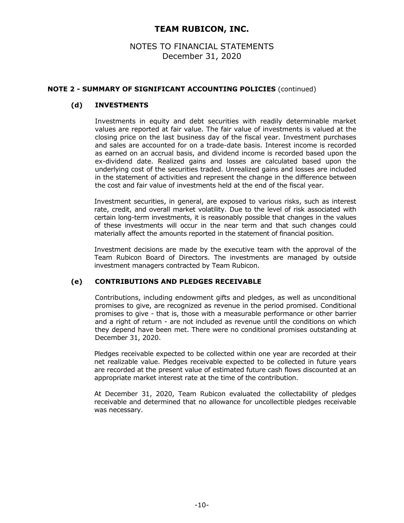## NOTES TO FINANCIAL STATEMENTS December 31, 2020

#### **NOTE 2 - SUMMARY OF SIGNIFICANT ACCOUNTING POLICIES** (continued)

#### **(d) INVESTMENTS**

Investments in equity and debt securities with readily determinable market values are reported at fair value. The fair value of investments is valued at the closing price on the last business day of the fiscal year. Investment purchases and sales are accounted for on a trade-date basis. Interest income is recorded as earned on an accrual basis, and dividend income is recorded based upon the ex-dividend date. Realized gains and losses are calculated based upon the underlying cost of the securities traded. Unrealized gains and losses are included in the statement of activities and represent the change in the difference between the cost and fair value of investments held at the end of the fiscal year.

Investment securities, in general, are exposed to various risks, such as interest rate, credit, and overall market volatility. Due to the level of risk associated with certain long-term investments, it is reasonably possible that changes in the values of these investments will occur in the near term and that such changes could materially affect the amounts reported in the statement of financial position.

Investment decisions are made by the executive team with the approval of the Team Rubicon Board of Directors. The investments are managed by outside investment managers contracted by Team Rubicon.

#### **(e) CONTRIBUTIONS AND PLEDGES RECEIVABLE**

Contributions, including endowment gifts and pledges, as well as unconditional promises to give, are recognized as revenue in the period promised. Conditional promises to give - that is, those with a measurable performance or other barrier and a right of return - are not included as revenue until the conditions on which they depend have been met. There were no conditional promises outstanding at December 31, 2020.

Pledges receivable expected to be collected within one year are recorded at their net realizable value. Pledges receivable expected to be collected in future years are recorded at the present value of estimated future cash flows discounted at an appropriate market interest rate at the time of the contribution.

At December 31, 2020, Team Rubicon evaluated the collectability of pledges receivable and determined that no allowance for uncollectible pledges receivable was necessary.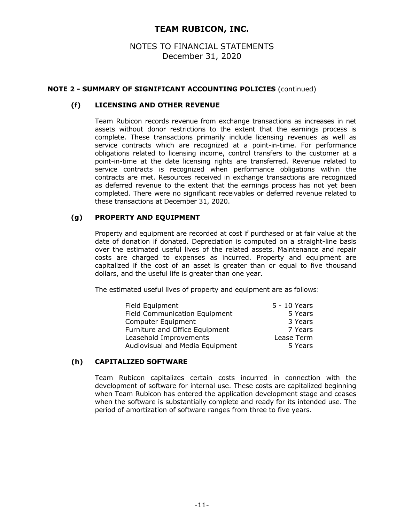## NOTES TO FINANCIAL STATEMENTS December 31, 2020

#### **NOTE 2 - SUMMARY OF SIGNIFICANT ACCOUNTING POLICIES** (continued)

#### **(f) LICENSING AND OTHER REVENUE**

Team Rubicon records revenue from exchange transactions as increases in net assets without donor restrictions to the extent that the earnings process is complete. These transactions primarily include licensing revenues as well as service contracts which are recognized at a point-in-time. For performance obligations related to licensing income, control transfers to the customer at a point-in-time at the date licensing rights are transferred. Revenue related to service contracts is recognized when performance obligations within the contracts are met. Resources received in exchange transactions are recognized as deferred revenue to the extent that the earnings process has not yet been completed. There were no significant receivables or deferred revenue related to these transactions at December 31, 2020.

#### **(g) PROPERTY AND EQUIPMENT**

Property and equipment are recorded at cost if purchased or at fair value at the date of donation if donated. Depreciation is computed on a straight-line basis over the estimated useful lives of the related assets. Maintenance and repair costs are charged to expenses as incurred. Property and equipment are capitalized if the cost of an asset is greater than or equal to five thousand dollars, and the useful life is greater than one year.

The estimated useful lives of property and equipment are as follows:

| Field Equipment                      | 5 - 10 Years |
|--------------------------------------|--------------|
| <b>Field Communication Equipment</b> | 5 Years      |
| Computer Equipment                   | 3 Years      |
| Furniture and Office Equipment       | 7 Years      |
| Leasehold Improvements               | Lease Term   |
| Audiovisual and Media Equipment      | 5 Years      |

#### **(h) CAPITALIZED SOFTWARE**

Team Rubicon capitalizes certain costs incurred in connection with the development of software for internal use. These costs are capitalized beginning when Team Rubicon has entered the application development stage and ceases when the software is substantially complete and ready for its intended use. The period of amortization of software ranges from three to five years.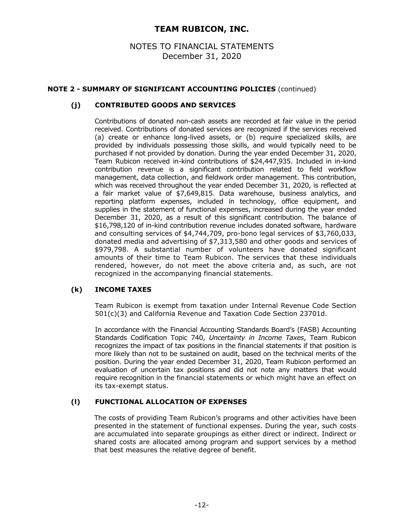## NOTES TO FINANCIAL STATEMENTS December 31, 2020

## **NOTE 2 - SUMMARY OF SIGNIFICANT ACCOUNTING POLICIES** (continued)

#### **(j) CONTRIBUTED GOODS AND SERVICES**

Contributions of donated non-cash assets are recorded at fair value in the period received. Contributions of donated services are recognized if the services received (a) create or enhance long-lived assets, or (b) require specialized skills, are provided by individuals possessing those skills, and would typically need to be purchased if not provided by donation. During the year ended December 31, 2020, Team Rubicon received in-kind contributions of \$24,447,935. Included in in-kind contribution revenue is a significant contribution related to field workflow management, data collection, and fieldwork order management. This contribution, which was received throughout the year ended December 31, 2020, is reflected at a fair market value of \$7,649,815. Data warehouse, business analytics, and reporting platform expenses, included in technology, office equipment, and supplies in the statement of functional expenses, increased during the year ended December 31, 2020, as a result of this significant contribution. The balance of \$16,798,120 of in-kind contribution revenue includes donated software, hardware and consulting services of \$4,744,709, pro-bono legal services of \$3,760,033, donated media and advertising of \$7,313,580 and other goods and services of \$979,798. A substantial number of volunteers have donated significant amounts of their time to Team Rubicon. The services that these individuals rendered, however, do not meet the above criteria and, as such, are not recognized in the accompanying financial statements.

#### **(k) INCOME TAXES**

Team Rubicon is exempt from taxation under Internal Revenue Code Section 501(c)(3) and California Revenue and Taxation Code Section 23701d.

In accordance with the Financial Accounting Standards Board's (FASB) Accounting Standards Codification Topic 740, *Uncertainty in Income Taxes*, Team Rubicon recognizes the impact of tax positions in the financial statements if that position is more likely than not to be sustained on audit, based on the technical merits of the position. During the year ended December 31, 2020, Team Rubicon performed an evaluation of uncertain tax positions and did not note any matters that would require recognition in the financial statements or which might have an effect on its tax-exempt status.

#### **(l) FUNCTIONAL ALLOCATION OF EXPENSES**

 The costs of providing Team Rubicon's programs and other activities have been presented in the statement of functional expenses. During the year, such costs are accumulated into separate groupings as either direct or indirect. Indirect or shared costs are allocated among program and support services by a method that best measures the relative degree of benefit.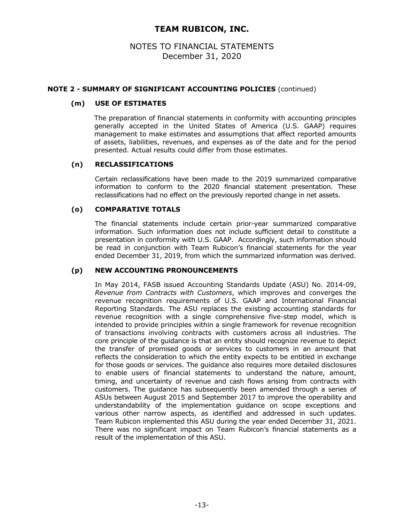## NOTES TO FINANCIAL STATEMENTS December 31, 2020

#### **NOTE 2 - SUMMARY OF SIGNIFICANT ACCOUNTING POLICIES** (continued)

#### **(m) USE OF ESTIMATES**

 The preparation of financial statements in conformity with accounting principles generally accepted in the United States of America (U.S. GAAP) requires management to make estimates and assumptions that affect reported amounts of assets, liabilities, revenues, and expenses as of the date and for the period presented. Actual results could differ from those estimates.

#### **(n) RECLASSIFICATIONS**

Certain reclassifications have been made to the 2019 summarized comparative information to conform to the 2020 financial statement presentation. These reclassifications had no effect on the previously reported change in net assets.

#### **(o) COMPARATIVE TOTALS**

The financial statements include certain prior-year summarized comparative information. Such information does not include sufficient detail to constitute a presentation in conformity with U.S. GAAP. Accordingly, such information should be read in conjunction with Team Rubicon's financial statements for the year ended December 31, 2019, from which the summarized information was derived.

#### **(p) NEW ACCOUNTING PRONOUNCEMENTS**

In May 2014, FASB issued Accounting Standards Update (ASU) No. 2014-09, *Revenue from Contracts with Customers*, which improves and converges the revenue recognition requirements of U.S. GAAP and International Financial Reporting Standards. The ASU replaces the existing accounting standards for revenue recognition with a single comprehensive five-step model, which is intended to provide principles within a single framework for revenue recognition of transactions involving contracts with customers across all industries. The core principle of the guidance is that an entity should recognize revenue to depict the transfer of promised goods or services to customers in an amount that reflects the consideration to which the entity expects to be entitled in exchange for those goods or services. The guidance also requires more detailed disclosures to enable users of financial statements to understand the nature, amount, timing, and uncertainty of revenue and cash flows arising from contracts with customers. The guidance has subsequently been amended through a series of ASUs between August 2015 and September 2017 to improve the operability and understandability of the implementation guidance on scope exceptions and various other narrow aspects, as identified and addressed in such updates. Team Rubicon implemented this ASU during the year ended December 31, 2021. There was no significant impact on Team Rubicon's financial statements as a result of the implementation of this ASU.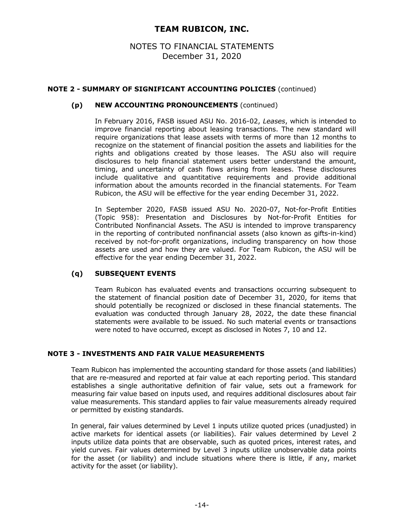## NOTES TO FINANCIAL STATEMENTS December 31, 2020

#### **NOTE 2 - SUMMARY OF SIGNIFICANT ACCOUNTING POLICIES** (continued)

#### **(p) NEW ACCOUNTING PRONOUNCEMENTS** (continued)

In February 2016, FASB issued ASU No. 2016-02, *Leases*, which is intended to improve financial reporting about leasing transactions. The new standard will require organizations that lease assets with terms of more than 12 months to recognize on the statement of financial position the assets and liabilities for the rights and obligations created by those leases. The ASU also will require disclosures to help financial statement users better understand the amount, timing, and uncertainty of cash flows arising from leases. These disclosures include qualitative and quantitative requirements and provide additional information about the amounts recorded in the financial statements. For Team Rubicon, the ASU will be effective for the year ending December 31, 2022.

In September 2020, FASB issued ASU No. 2020-07, Not-for-Profit Entities (Topic 958): Presentation and Disclosures by Not-for-Profit Entities for Contributed Nonfinancial Assets. The ASU is intended to improve transparency in the reporting of contributed nonfinancial assets (also known as gifts-in-kind) received by not-for-profit organizations, including transparency on how those assets are used and how they are valued. For Team Rubicon, the ASU will be effective for the year ending December 31, 2022.

#### **(q) SUBSEQUENT EVENTS**

Team Rubicon has evaluated events and transactions occurring subsequent to the statement of financial position date of December 31, 2020, for items that should potentially be recognized or disclosed in these financial statements. The evaluation was conducted through January 28, 2022, the date these financial statements were available to be issued. No such material events or transactions were noted to have occurred, except as disclosed in Notes 7, 10 and 12.

#### **NOTE 3 - INVESTMENTS AND FAIR VALUE MEASUREMENTS**

 Team Rubicon has implemented the accounting standard for those assets (and liabilities) that are re-measured and reported at fair value at each reporting period. This standard establishes a single authoritative definition of fair value, sets out a framework for measuring fair value based on inputs used, and requires additional disclosures about fair value measurements. This standard applies to fair value measurements already required or permitted by existing standards.

In general, fair values determined by Level 1 inputs utilize quoted prices (unadjusted) in active markets for identical assets (or liabilities). Fair values determined by Level 2 inputs utilize data points that are observable, such as quoted prices, interest rates, and yield curves. Fair values determined by Level 3 inputs utilize unobservable data points for the asset (or liability) and include situations where there is little, if any, market activity for the asset (or liability).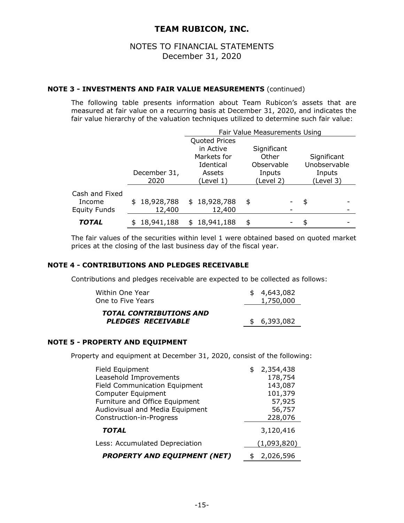## NOTES TO FINANCIAL STATEMENTS December 31, 2020

#### **NOTE 3 - INVESTMENTS AND FAIR VALUE MEASUREMENTS** (continued)

 The following table presents information about Team Rubicon's assets that are measured at fair value on a recurring basis at December 31, 2020, and indicates the fair value hierarchy of the valuation techniques utilized to determine such fair value:

|                     |                  | Fair Value Measurements Using |             |              |  |  |  |
|---------------------|------------------|-------------------------------|-------------|--------------|--|--|--|
|                     |                  | <b>Quoted Prices</b>          |             |              |  |  |  |
|                     |                  | in Active                     | Significant |              |  |  |  |
|                     |                  | Markets for                   | Other       | Significant  |  |  |  |
|                     |                  | Identical                     | Observable  | Unobservable |  |  |  |
|                     | December 31,     | Assets                        | Inputs      | Inputs       |  |  |  |
|                     | 2020             | (Level 1)                     | (Level 2)   | (Level 3)    |  |  |  |
| Cash and Fixed      |                  |                               |             |              |  |  |  |
| Income              | 18,928,788<br>\$ | \$18,928,788                  | \$          | \$           |  |  |  |
| <b>Equity Funds</b> | 12,400           | 12,400                        |             |              |  |  |  |
| <b>TOTAL</b>        | 18,941,188<br>\$ | 18,941,188<br>\$              | \$          | \$           |  |  |  |

 The fair values of the securities within level 1 were obtained based on quoted market prices at the closing of the last business day of the fiscal year.

#### **NOTE 4 - CONTRIBUTIONS AND PLEDGES RECEIVABLE**

Contributions and pledges receivable are expected to be collected as follows:

| Within One Year                                             | \$4.643.082 |
|-------------------------------------------------------------|-------------|
| One to Five Years                                           | 1,750,000   |
| <b>TOTAL CONTRIBUTIONS AND</b><br><b>PLEDGES RECEIVABLE</b> | \$6,393,082 |

#### **NOTE 5 - PROPERTY AND EQUIPMENT**

Property and equipment at December 31, 2020, consist of the following:

| Field Equipment                      | \$2,354,438 |
|--------------------------------------|-------------|
| Leasehold Improvements               | 178,754     |
| <b>Field Communication Equipment</b> | 143,087     |
| Computer Equipment                   | 101,379     |
| Furniture and Office Equipment       | 57,925      |
| Audiovisual and Media Equipment      | 56,757      |
| Construction-in-Progress             | 228,076     |
| <b>TOTAL</b>                         | 3,120,416   |
| Less: Accumulated Depreciation       | (1,093,820) |
| <b>PROPERTY AND EQUIPMENT (NET)</b>  | 2,026,596   |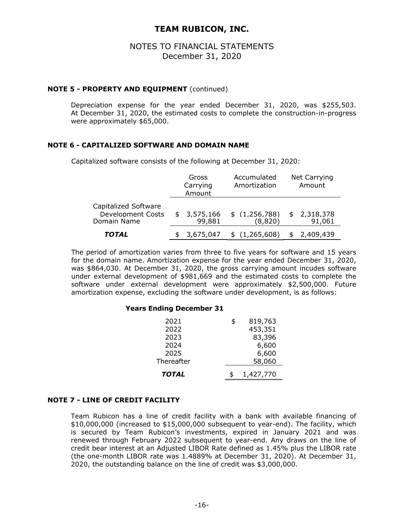## NOTES TO FINANCIAL STATEMENTS December 31, 2020

#### **NOTE 5 - PROPERTY AND EQUIPMENT** (continued)

Depreciation expense for the year ended December 31, 2020, was \$255,503. At December 31, 2020, the estimated costs to complete the construction-in-progress were approximately \$65,000.

#### **NOTE 6 - CAPITALIZED SOFTWARE AND DOMAIN NAME**

Capitalized software consists of the following at December 31, 2020:

|                                                                 | Gross<br>Carrying<br>Amount | Accumulated<br>Amortization | Net Carrying<br>Amount |                     |  |
|-----------------------------------------------------------------|-----------------------------|-----------------------------|------------------------|---------------------|--|
| Capitalized Software<br><b>Development Costs</b><br>Domain Name | \$3,575,166<br>99,881       | \$(1,256,788)<br>(8,820)    | \$                     | 2,318,378<br>91,061 |  |
| <b>TOTAL</b>                                                    | 3,675,047                   | \$(1,265,608)               |                        | 2,409,439           |  |

The period of amortization varies from three to five years for software and 15 years for the domain name. Amortization expense for the year ended December 31, 2020, was \$864,030. At December 31, 2020, the gross carrying amount incudes software under external development of \$981,669 and the estimated costs to complete the software under external development were approximately \$2,500,000. Future amortization expense, excluding the software under development, is as follows:

#### **Years Ending December 31**

| 2021         | \$<br>819,763 |
|--------------|---------------|
| 2022         | 453,351       |
| 2023         | 83,396        |
| 2024         | 6,600         |
| 2025         | 6,600         |
| Thereafter   | 58,060        |
| <b>TOTAL</b> | 1,427,770     |

#### **NOTE 7 - LINE OF CREDIT FACILITY**

 Team Rubicon has a line of credit facility with a bank with available financing of \$10,000,000 (increased to \$15,000,000 subsequent to year-end). The facility, which is secured by Team Rubicon's investments, expired in January 2021 and was renewed through February 2022 subsequent to year-end. Any draws on the line of credit bear interest at an Adjusted LIBOR Rate defined as 1.45% plus the LIBOR rate (the one-month LIBOR rate was 1.4889% at December 31, 2020). At December 31, 2020, the outstanding balance on the line of credit was \$3,000,000.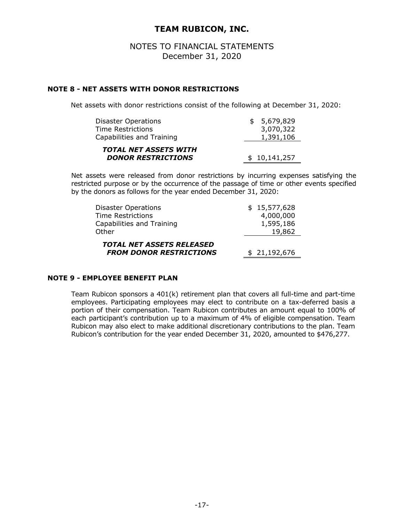## NOTES TO FINANCIAL STATEMENTS December 31, 2020

#### **NOTE 8 - NET ASSETS WITH DONOR RESTRICTIONS**

Net assets with donor restrictions consist of the following at December 31, 2020:

| <b>Disaster Operations</b>                                | \$5,679,829  |
|-----------------------------------------------------------|--------------|
| <b>Time Restrictions</b>                                  | 3,070,322    |
| Capabilities and Training                                 | 1,391,106    |
| <b>TOTAL NET ASSETS WITH</b><br><b>DONOR RESTRICTIONS</b> | \$10,141,257 |

Net assets were released from donor restrictions by incurring expenses satisfying the restricted purpose or by the occurrence of the passage of time or other events specified by the donors as follows for the year ended December 31, 2020:

| <b>Disaster Operations</b>                                         | \$15,577,628 |
|--------------------------------------------------------------------|--------------|
| <b>Time Restrictions</b>                                           | 4,000,000    |
| Capabilities and Training                                          | 1,595,186    |
| Other                                                              | 19,862       |
| <b>TOTAL NET ASSETS RELEASED</b><br><b>FROM DONOR RESTRICTIONS</b> | \$21,192,676 |

#### **NOTE 9 - EMPLOYEE BENEFIT PLAN**

Team Rubicon sponsors a 401(k) retirement plan that covers all full-time and part-time employees. Participating employees may elect to contribute on a tax-deferred basis a portion of their compensation. Team Rubicon contributes an amount equal to 100% of each participant's contribution up to a maximum of 4% of eligible compensation. Team Rubicon may also elect to make additional discretionary contributions to the plan. Team Rubicon's contribution for the year ended December 31, 2020, amounted to \$476,277.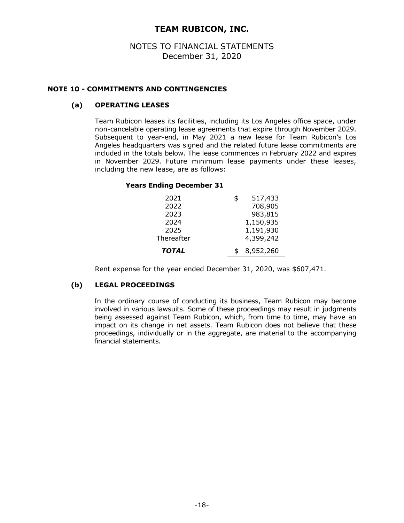## NOTES TO FINANCIAL STATEMENTS December 31, 2020

#### **NOTE 10 - COMMITMENTS AND CONTINGENCIES**

#### **(a) OPERATING LEASES**

Team Rubicon leases its facilities, including its Los Angeles office space, under non-cancelable operating lease agreements that expire through November 2029. Subsequent to year-end, in May 2021 a new lease for Team Rubicon's Los Angeles headquarters was signed and the related future lease commitments are included in the totals below. The lease commences in February 2022 and expires in November 2029. Future minimum lease payments under these leases, including the new lease, are as follows:

#### **Years Ending December 31**

| 2021         | 517,433<br>\$ |
|--------------|---------------|
| 2022         | 708,905       |
| 2023         | 983,815       |
| 2024         | 1,150,935     |
| 2025         | 1,191,930     |
| Thereafter   | 4,399,242     |
| <b>TOTAL</b> | 8,952,260     |

Rent expense for the year ended December 31, 2020, was \$607,471.

#### **(b) LEGAL PROCEEDINGS**

 In the ordinary course of conducting its business, Team Rubicon may become involved in various lawsuits. Some of these proceedings may result in judgments being assessed against Team Rubicon, which, from time to time, may have an impact on its change in net assets. Team Rubicon does not believe that these proceedings, individually or in the aggregate, are material to the accompanying financial statements.